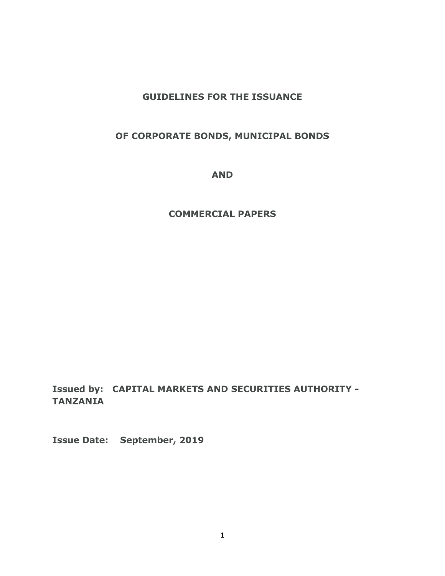## **GUIDELINES FOR THE ISSUANCE**

### **OF CORPORATE BONDS, MUNICIPAL BONDS**

**AND**

#### **COMMERCIAL PAPERS**

**Issued by: CAPITAL MARKETS AND SECURITIES AUTHORITY - TANZANIA**

**Issue Date: September, 2019**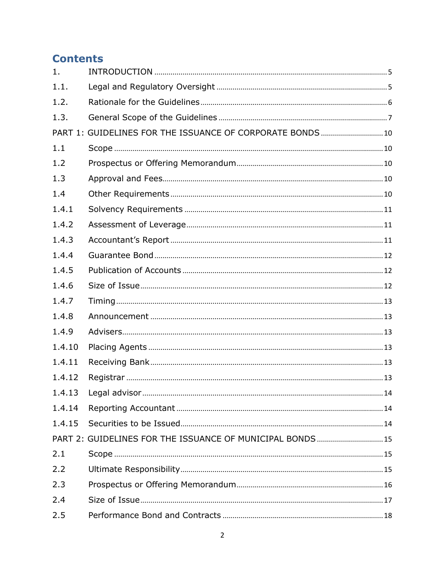# **Contents**

| 1.     |                                                            |  |
|--------|------------------------------------------------------------|--|
| 1.1.   |                                                            |  |
| 1.2.   |                                                            |  |
| 1.3.   |                                                            |  |
|        | PART 1: GUIDELINES FOR THE ISSUANCE OF CORPORATE BONDS  10 |  |
| 1.1    |                                                            |  |
| 1.2    |                                                            |  |
| 1.3    |                                                            |  |
| 1.4    |                                                            |  |
| 1.4.1  |                                                            |  |
| 1.4.2  |                                                            |  |
| 1.4.3  |                                                            |  |
| 1.4.4  |                                                            |  |
| 1.4.5  |                                                            |  |
| 1.4.6  |                                                            |  |
| 1.4.7  |                                                            |  |
| 1.4.8  |                                                            |  |
| 1.4.9  |                                                            |  |
| 1.4.10 |                                                            |  |
| 1.4.11 |                                                            |  |
| 1.4.12 |                                                            |  |
| 1.4.13 | Legal advisor<br>14                                        |  |
| 1.4.14 |                                                            |  |
| 1.4.15 |                                                            |  |
|        | PART 2: GUIDELINES FOR THE ISSUANCE OF MUNICIPAL BONDS 15  |  |
| 2.1    |                                                            |  |
| 2.2    |                                                            |  |
| 2.3    |                                                            |  |
| 2.4    |                                                            |  |
| 2.5    |                                                            |  |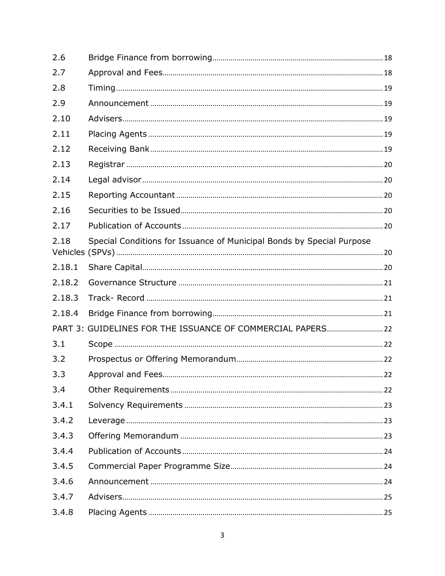| 2.6    |                                                                       |  |
|--------|-----------------------------------------------------------------------|--|
| 2.7    |                                                                       |  |
| 2.8    |                                                                       |  |
| 2.9    |                                                                       |  |
| 2.10   |                                                                       |  |
| 2.11   |                                                                       |  |
| 2.12   |                                                                       |  |
| 2.13   |                                                                       |  |
| 2.14   |                                                                       |  |
| 2.15   |                                                                       |  |
| 2.16   |                                                                       |  |
| 2.17   |                                                                       |  |
| 2.18   | Special Conditions for Issuance of Municipal Bonds by Special Purpose |  |
| 2.18.1 |                                                                       |  |
| 2.18.2 |                                                                       |  |
| 2.18.3 |                                                                       |  |
| 2.18.4 |                                                                       |  |
|        | PART 3: GUIDELINES FOR THE ISSUANCE OF COMMERCIAL PAPERS 22           |  |
| 3.1    |                                                                       |  |
| 3.2    |                                                                       |  |
| 3.3    |                                                                       |  |
| 3.4    |                                                                       |  |
| 3.4.1  |                                                                       |  |
| 3.4.2  |                                                                       |  |
| 3.4.3  |                                                                       |  |
| 3.4.4  |                                                                       |  |
| 3.4.5  |                                                                       |  |
| 3.4.6  |                                                                       |  |
| 3.4.7  |                                                                       |  |
| 3.4.8  |                                                                       |  |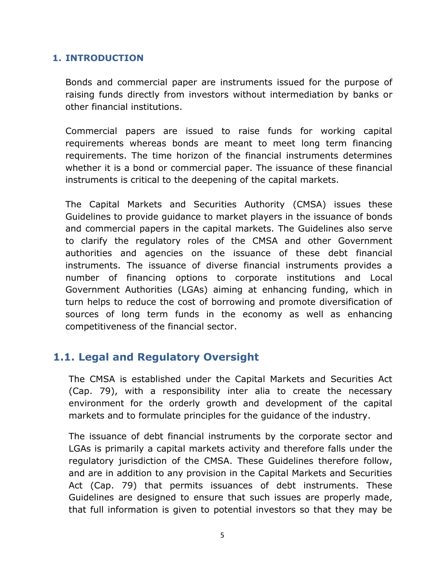## <span id="page-4-0"></span>**1. INTRODUCTION**

Bonds and commercial paper are instruments issued for the purpose of raising funds directly from investors without intermediation by banks or other financial institutions.

Commercial papers are issued to raise funds for working capital requirements whereas bonds are meant to meet long term financing requirements. The time horizon of the financial instruments determines whether it is a bond or commercial paper. The issuance of these financial instruments is critical to the deepening of the capital markets.

The Capital Markets and Securities Authority (CMSA) issues these Guidelines to provide guidance to market players in the issuance of bonds and commercial papers in the capital markets. The Guidelines also serve to clarify the regulatory roles of the CMSA and other Government authorities and agencies on the issuance of these debt financial instruments. The issuance of diverse financial instruments provides a number of financing options to corporate institutions and Local Government Authorities (LGAs) aiming at enhancing funding, which in turn helps to reduce the cost of borrowing and promote diversification of sources of long term funds in the economy as well as enhancing competitiveness of the financial sector.

# <span id="page-4-1"></span>**1.1. Legal and Regulatory Oversight**

The CMSA is established under the Capital Markets and Securities Act (Cap. 79), with a responsibility inter alia to create the necessary environment for the orderly growth and development of the capital markets and to formulate principles for the guidance of the industry.

The issuance of debt financial instruments by the corporate sector and LGAs is primarily a capital markets activity and therefore falls under the regulatory jurisdiction of the CMSA. These Guidelines therefore follow, and are in addition to any provision in the Capital Markets and Securities Act (Cap. 79) that permits issuances of debt instruments. These Guidelines are designed to ensure that such issues are properly made, that full information is given to potential investors so that they may be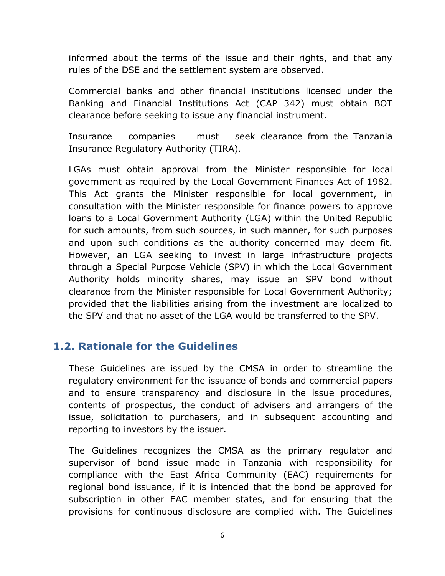informed about the terms of the issue and their rights, and that any rules of the DSE and the settlement system are observed.

Commercial banks and other financial institutions licensed under the Banking and Financial Institutions Act (CAP 342) must obtain BOT clearance before seeking to issue any financial instrument.

Insurance companies must seek clearance from the Tanzania Insurance Regulatory Authority (TIRA).

LGAs must obtain approval from the Minister responsible for local government as required by the Local Government Finances Act of 1982. This Act grants the Minister responsible for local government, in consultation with the Minister responsible for finance powers to approve loans to a Local Government Authority (LGA) within the United Republic for such amounts, from such sources, in such manner, for such purposes and upon such conditions as the authority concerned may deem fit. However, an LGA seeking to invest in large infrastructure projects through a Special Purpose Vehicle (SPV) in which the Local Government Authority holds minority shares, may issue an SPV bond without clearance from the Minister responsible for Local Government Authority; provided that the liabilities arising from the investment are localized to the SPV and that no asset of the LGA would be transferred to the SPV.

# <span id="page-5-0"></span>**1.2. Rationale for the Guidelines**

These Guidelines are issued by the CMSA in order to streamline the regulatory environment for the issuance of bonds and commercial papers and to ensure transparency and disclosure in the issue procedures, contents of prospectus, the conduct of advisers and arrangers of the issue, solicitation to purchasers, and in subsequent accounting and reporting to investors by the issuer.

The Guidelines recognizes the CMSA as the primary regulator and supervisor of bond issue made in Tanzania with responsibility for compliance with the East Africa Community (EAC) requirements for regional bond issuance, if it is intended that the bond be approved for subscription in other EAC member states, and for ensuring that the provisions for continuous disclosure are complied with. The Guidelines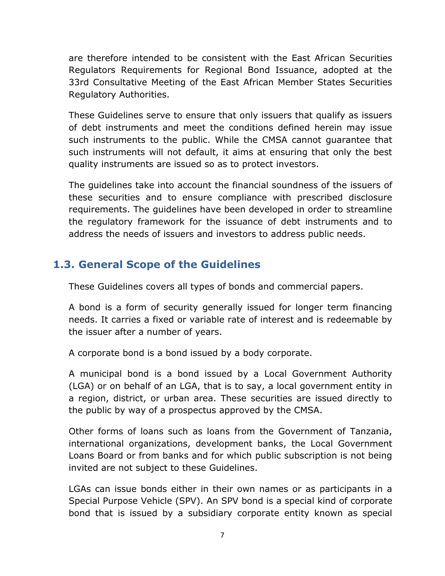are therefore intended to be consistent with the East African Securities Regulators Requirements for Regional Bond Issuance, adopted at the 33rd Consultative Meeting of the East African Member States Securities Regulatory Authorities.

These Guidelines serve to ensure that only issuers that qualify as issuers of debt instruments and meet the conditions defined herein may issue such instruments to the public. While the CMSA cannot guarantee that such instruments will not default, it aims at ensuring that only the best quality instruments are issued so as to protect investors.

The guidelines take into account the financial soundness of the issuers of these securities and to ensure compliance with prescribed disclosure requirements. The guidelines have been developed in order to streamline the regulatory framework for the issuance of debt instruments and to address the needs of issuers and investors to address public needs.

# <span id="page-6-0"></span>**1.3. General Scope of the Guidelines**

These Guidelines covers all types of bonds and commercial papers.

A bond is a form of security generally issued for longer term financing needs. It carries a fixed or variable rate of interest and is redeemable by the issuer after a number of years.

A corporate bond is a bond issued by a body corporate.

A municipal bond is a bond issued by a Local Government Authority (LGA) or on behalf of an LGA, that is to say, a local government entity in a region, district, or urban area. These securities are issued directly to the public by way of a prospectus approved by the CMSA.

Other forms of loans such as loans from the Government of Tanzania, international organizations, development banks, the Local Government Loans Board or from banks and for which public subscription is not being invited are not subject to these Guidelines.

LGAs can issue bonds either in their own names or as participants in a Special Purpose Vehicle (SPV). An SPV bond is a special kind of corporate bond that is issued by a subsidiary corporate entity known as special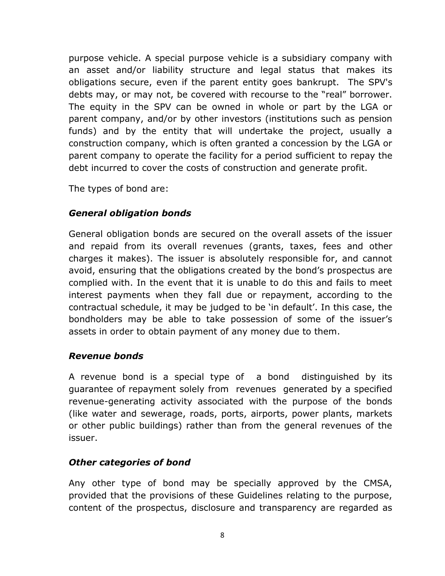purpose vehicle. A special purpose vehicle is a subsidiary company with an asset and/or liability structure and legal status that makes its obligations secure, even if the parent entity goes bankrupt. The SPV's debts may, or may not, be covered with recourse to the "real" borrower. The equity in the SPV can be owned in whole or part by the LGA or parent company, and/or by other investors (institutions such as pension funds) and by the entity that will undertake the project, usually a construction company, which is often granted a concession by the LGA or parent company to operate the facility for a period sufficient to repay the debt incurred to cover the costs of construction and generate profit.

The types of bond are:

# *General obligation bonds*

General obligation bonds are secured on the overall assets of the issuer and repaid from its overall revenues (grants, taxes, fees and other charges it makes). The issuer is absolutely responsible for, and cannot avoid, ensuring that the obligations created by the bond's prospectus are complied with. In the event that it is unable to do this and fails to meet interest payments when they fall due or repayment, according to the contractual schedule, it may be judged to be 'in default'. In this case, the bondholders may be able to take possession of some of the issuer's assets in order to obtain payment of any money due to them.

# *Revenue bonds*

A revenue bond is a special type of a [bond](http://en.wikipedia.org/wiki/Municipal_bond) distinguished by its guarantee of repayment solely from [revenues](http://en.wikipedia.org/wiki/Revenue) generated by a specified revenue-generating activity associated with the purpose of the bonds (like water and sewerage, roads, ports, airports, power plants, markets or other public buildings) rather than from the general revenues of the issuer.

# *Other categories of bond*

Any other type of bond may be specially approved by the CMSA, provided that the provisions of these Guidelines relating to the purpose, content of the prospectus, disclosure and transparency are regarded as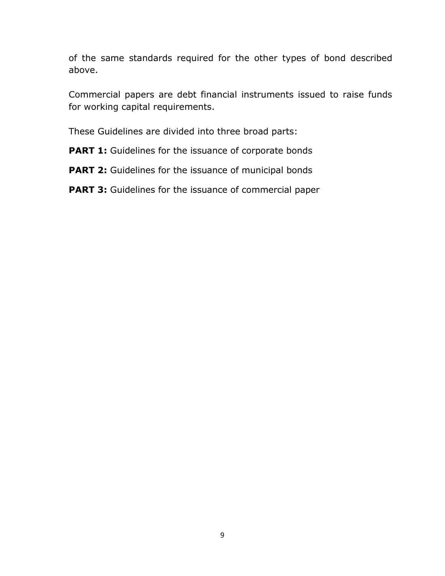of the same standards required for the other types of bond described above.

Commercial papers are debt financial instruments issued to raise funds for working capital requirements.

These Guidelines are divided into three broad parts:

**PART 1:** Guidelines for the issuance of corporate bonds

**PART 2:** Guidelines for the issuance of municipal bonds

**PART 3:** Guidelines for the issuance of commercial paper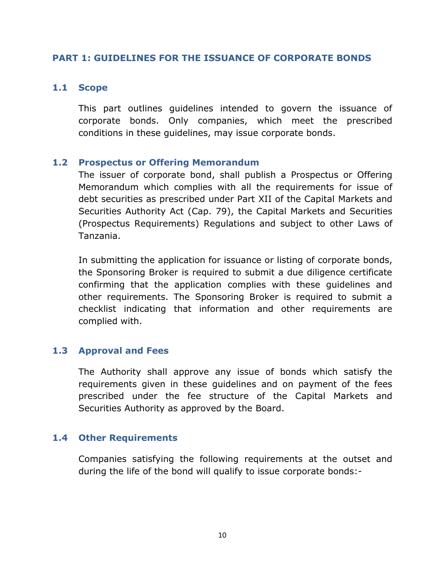#### <span id="page-9-1"></span><span id="page-9-0"></span>**PART 1: GUIDELINES FOR THE ISSUANCE OF CORPORATE BONDS**

#### **1.1 Scope**

This part outlines guidelines intended to govern the issuance of corporate bonds. Only companies, which meet the prescribed conditions in these guidelines, may issue corporate bonds.

#### <span id="page-9-2"></span>**1.2 Prospectus or Offering Memorandum**

The issuer of corporate bond, shall publish a Prospectus or Offering Memorandum which complies with all the requirements for issue of debt securities as prescribed under Part XII of the Capital Markets and Securities Authority Act (Cap. 79), the Capital Markets and Securities (Prospectus Requirements) Regulations and subject to other Laws of Tanzania.

In submitting the application for issuance or listing of corporate bonds, the Sponsoring Broker is required to submit a due diligence certificate confirming that the application complies with these guidelines and other requirements. The Sponsoring Broker is required to submit a checklist indicating that information and other requirements are complied with.

### <span id="page-9-3"></span>**1.3 Approval and Fees**

The Authority shall approve any issue of bonds which satisfy the requirements given in these guidelines and on payment of the fees prescribed under the fee structure of the Capital Markets and Securities Authority as approved by the Board.

### <span id="page-9-4"></span>**1.4 Other Requirements**

Companies satisfying the following requirements at the outset and during the life of the bond will qualify to issue corporate bonds:-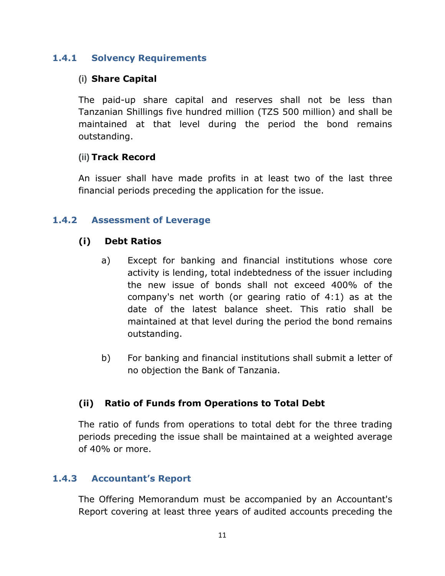## <span id="page-10-0"></span>**1.4.1 Solvency Requirements**

## **(i) Share Capital**

The paid-up share capital and reserves shall not be less than Tanzanian Shillings five hundred million (TZS 500 million) and shall be maintained at that level during the period the bond remains outstanding.

### **(ii) Track Record**

An issuer shall have made profits in at least two of the last three financial periods preceding the application for the issue.

#### <span id="page-10-1"></span>**1.4.2 Assessment of Leverage**

### **(i) Debt Ratios**

- a) Except for banking and financial institutions whose core activity is lending, total indebtedness of the issuer including the new issue of bonds shall not exceed 400% of the company's net worth (or gearing ratio of 4:1) as at the date of the latest balance sheet. This ratio shall be maintained at that level during the period the bond remains outstanding.
- b) For banking and financial institutions shall submit a letter of no objection the Bank of Tanzania.

### **(ii) Ratio of Funds from Operations to Total Debt**

The ratio of funds from operations to total debt for the three trading periods preceding the issue shall be maintained at a weighted average of 40% or more.

#### <span id="page-10-2"></span>**1.4.3 Accountant's Report**

The Offering Memorandum must be accompanied by an Accountant's Report covering at least three years of audited accounts preceding the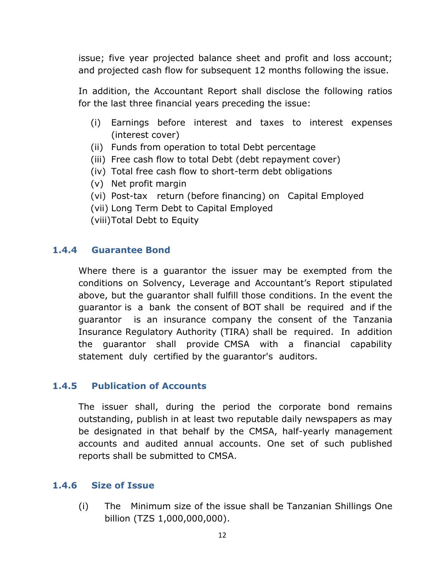issue; five year projected balance sheet and profit and loss account; and projected cash flow for subsequent 12 months following the issue.

In addition, the Accountant Report shall disclose the following ratios for the last three financial years preceding the issue:

- (i) Earnings before interest and taxes to interest expenses (interest cover)
- (ii) Funds from operation to total Debt percentage
- (iii) Free cash flow to total Debt (debt repayment cover)
- (iv) Total free cash flow to short-term debt obligations
- (v) Net profit margin
- (vi) Post-tax return (before financing) on Capital Employed
- (vii) Long Term Debt to Capital Employed
- (viii)Total Debt to Equity

### <span id="page-11-0"></span>**1.4.4 Guarantee Bond**

Where there is a guarantor the issuer may be exempted from the conditions on Solvency, Leverage and Accountant's Report stipulated above, but the guarantor shall fulfill those conditions. In the event the guarantor is a bank the consent of BOT shall be required and if the guarantor is an insurance company the consent of the Tanzania Insurance Regulatory Authority (TIRA) shall be required. In addition the guarantor shall provide CMSA with a financial capability statement duly certified by the guarantor's auditors.

### <span id="page-11-1"></span>**1.4.5 Publication of Accounts**

The issuer shall, during the period the corporate bond remains outstanding, publish in at least two reputable daily newspapers as may be designated in that behalf by the CMSA, half-yearly management accounts and audited annual accounts. One set of such published reports shall be submitted to CMSA.

#### <span id="page-11-2"></span>**1.4.6 Size of Issue**

(i) The Minimum size of the issue shall be Tanzanian Shillings One billion (TZS 1,000,000,000).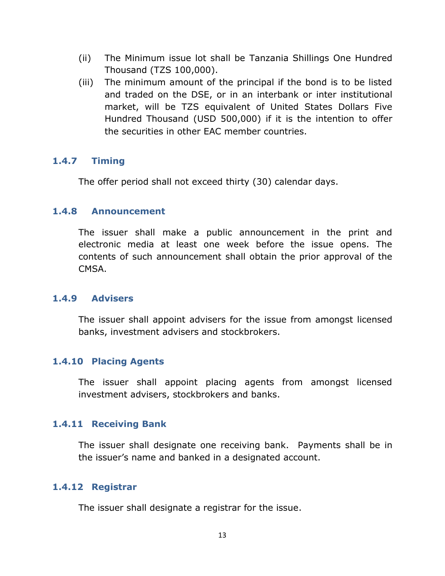- (ii) The Minimum issue lot shall be Tanzania Shillings One Hundred Thousand (TZS 100,000).
- (iii) The minimum amount of the principal if the bond is to be listed and traded on the DSE, or in an interbank or inter institutional market, will be TZS equivalent of United States Dollars Five Hundred Thousand (USD 500,000) if it is the intention to offer the securities in other EAC member countries.

### <span id="page-12-0"></span>**1.4.7 Timing**

The offer period shall not exceed thirty (30) calendar days.

## <span id="page-12-1"></span>**1.4.8 Announcement**

The issuer shall make a public announcement in the print and electronic media at least one week before the issue opens. The contents of such announcement shall obtain the prior approval of the CMSA.

### <span id="page-12-2"></span>**1.4.9 Advisers**

The issuer shall appoint advisers for the issue from amongst licensed banks, investment advisers and stockbrokers.

# <span id="page-12-3"></span>**1.4.10 Placing Agents**

The issuer shall appoint placing agents from amongst licensed investment advisers, stockbrokers and banks.

### <span id="page-12-4"></span>**1.4.11 Receiving Bank**

The issuer shall designate one receiving bank. Payments shall be in the issuer's name and banked in a designated account.

### <span id="page-12-5"></span>**1.4.12 Registrar**

The issuer shall designate a registrar for the issue.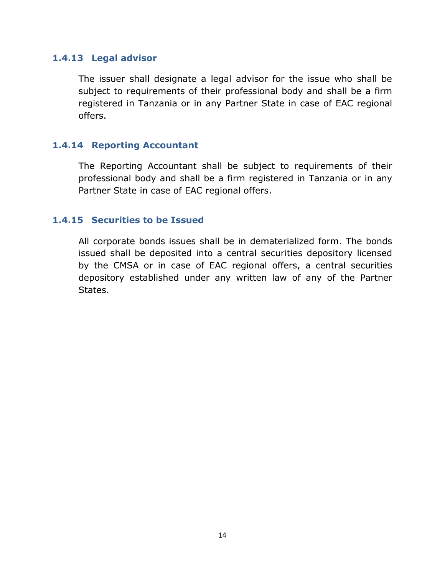#### <span id="page-13-0"></span>**1.4.13 Legal advisor**

The issuer shall designate a legal advisor for the issue who shall be subject to requirements of their professional body and shall be a firm registered in Tanzania or in any Partner State in case of EAC regional offers.

### <span id="page-13-1"></span>**1.4.14 Reporting Accountant**

The Reporting Accountant shall be subject to requirements of their professional body and shall be a firm registered in Tanzania or in any Partner State in case of EAC regional offers.

#### <span id="page-13-2"></span>**1.4.15 Securities to be Issued**

All corporate bonds issues shall be in dematerialized form. The bonds issued shall be deposited into a central securities depository licensed by the CMSA or in case of EAC regional offers, a central securities depository established under any written law of any of the Partner States.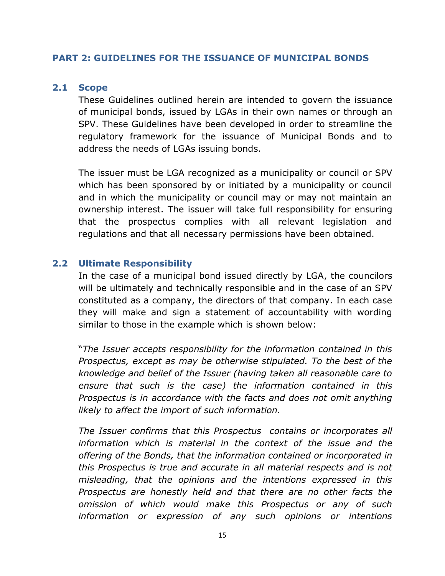#### <span id="page-14-1"></span><span id="page-14-0"></span>**PART 2: GUIDELINES FOR THE ISSUANCE OF MUNICIPAL BONDS**

#### **2.1 Scope**

These Guidelines outlined herein are intended to govern the issuance of municipal bonds, issued by LGAs in their own names or through an SPV. These Guidelines have been developed in order to streamline the regulatory framework for the issuance of Municipal Bonds and to address the needs of LGAs issuing bonds.

The issuer must be LGA recognized as a municipality or council or SPV which has been sponsored by or initiated by a municipality or council and in which the municipality or council may or may not maintain an ownership interest. The issuer will take full responsibility for ensuring that the prospectus complies with all relevant legislation and regulations and that all necessary permissions have been obtained.

#### <span id="page-14-2"></span>**2.2 Ultimate Responsibility**

In the case of a municipal bond issued directly by LGA, the councilors will be ultimately and technically responsible and in the case of an SPV constituted as a company, the directors of that company. In each case they will make and sign a statement of accountability with wording similar to those in the example which is shown below:

"*The Issuer accepts responsibility for the information contained in this Prospectus, except as may be otherwise stipulated. To the best of the knowledge and belief of the Issuer (having taken all reasonable care to ensure that such is the case) the information contained in this Prospectus is in accordance with the facts and does not omit anything likely to affect the import of such information.* 

*The Issuer confirms that this Prospectus contains or incorporates all information which is material in the context of the issue and the offering of the Bonds, that the information contained or incorporated in this Prospectus is true and accurate in all material respects and is not misleading, that the opinions and the intentions expressed in this Prospectus are honestly held and that there are no other facts the omission of which would make this Prospectus or any of such information or expression of any such opinions or intentions*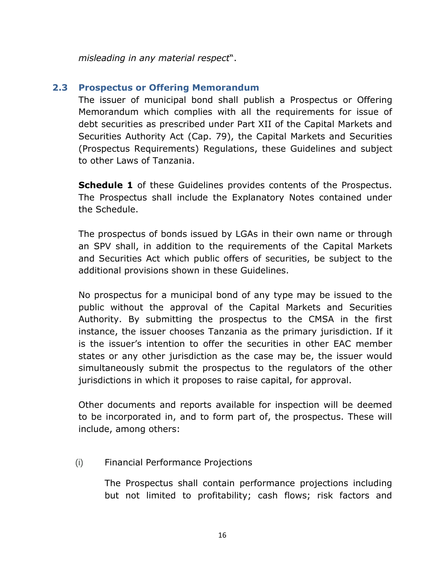*misleading in any material respect*".

# <span id="page-15-0"></span>**2.3 Prospectus or Offering Memorandum**

The issuer of municipal bond shall publish a Prospectus or Offering Memorandum which complies with all the requirements for issue of debt securities as prescribed under Part XII of the Capital Markets and Securities Authority Act (Cap. 79), the Capital Markets and Securities (Prospectus Requirements) Regulations, these Guidelines and subject to other Laws of Tanzania.

**Schedule 1** of these Guidelines provides contents of the Prospectus. The Prospectus shall include the Explanatory Notes contained under the Schedule.

The prospectus of bonds issued by LGAs in their own name or through an SPV shall, in addition to the requirements of the Capital Markets and Securities Act which public offers of securities, be subject to the additional provisions shown in these Guidelines.

No prospectus for a municipal bond of any type may be issued to the public without the approval of the Capital Markets and Securities Authority. By submitting the prospectus to the CMSA in the first instance, the issuer chooses Tanzania as the primary jurisdiction. If it is the issuer's intention to offer the securities in other EAC member states or any other jurisdiction as the case may be, the issuer would simultaneously submit the prospectus to the regulators of the other jurisdictions in which it proposes to raise capital, for approval.

Other documents and reports available for inspection will be deemed to be incorporated in, and to form part of, the prospectus. These will include, among others:

(i) Financial Performance Projections

The Prospectus shall contain performance projections including but not limited to profitability; cash flows; risk factors and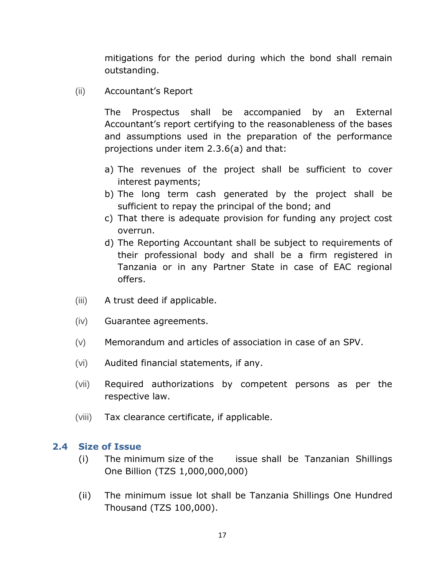mitigations for the period during which the bond shall remain outstanding.

(ii) Accountant's Report

The Prospectus shall be accompanied by an External Accountant's report certifying to the reasonableness of the bases and assumptions used in the preparation of the performance projections under item 2.3.6(a) and that:

- a) The revenues of the project shall be sufficient to cover interest payments;
- b) The long term cash generated by the project shall be sufficient to repay the principal of the bond; and
- c) That there is adequate provision for funding any project cost overrun.
- d) The Reporting Accountant shall be subject to requirements of their professional body and shall be a firm registered in Tanzania or in any Partner State in case of EAC regional offers.
- (iii) A trust deed if applicable.
- (iv) Guarantee agreements.
- (v) Memorandum and articles of association in case of an SPV.
- (vi) Audited financial statements, if any.
- (vii) Required authorizations by competent persons as per the respective law.
- (viii) Tax clearance certificate, if applicable.

#### <span id="page-16-0"></span>**2.4 Size of Issue**

- (i) The minimum size of the issue shall be Tanzanian Shillings One Billion (TZS 1,000,000,000)
- (ii) The minimum issue lot shall be Tanzania Shillings One Hundred Thousand (TZS 100,000).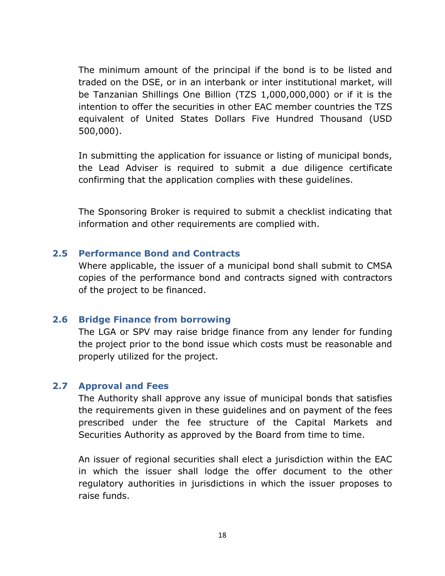The minimum amount of the principal if the bond is to be listed and traded on the DSE, or in an interbank or inter institutional market, will be Tanzanian Shillings One Billion (TZS 1,000,000,000) or if it is the intention to offer the securities in other EAC member countries the TZS equivalent of United States Dollars Five Hundred Thousand (USD 500,000).

In submitting the application for issuance or listing of municipal bonds, the Lead Adviser is required to submit a due diligence certificate confirming that the application complies with these guidelines.

The Sponsoring Broker is required to submit a checklist indicating that information and other requirements are complied with.

#### <span id="page-17-0"></span>**2.5 Performance Bond and Contracts**

Where applicable, the issuer of a municipal bond shall submit to CMSA copies of the performance bond and contracts signed with contractors of the project to be financed.

### <span id="page-17-1"></span>**2.6 Bridge Finance from borrowing**

The LGA or SPV may raise bridge finance from any lender for funding the project prior to the bond issue which costs must be reasonable and properly utilized for the project.

### <span id="page-17-2"></span>**2.7 Approval and Fees**

The Authority shall approve any issue of municipal bonds that satisfies the requirements given in these guidelines and on payment of the fees prescribed under the fee structure of the Capital Markets and Securities Authority as approved by the Board from time to time.

An issuer of regional securities shall elect a jurisdiction within the EAC in which the issuer shall lodge the offer document to the other regulatory authorities in jurisdictions in which the issuer proposes to raise funds.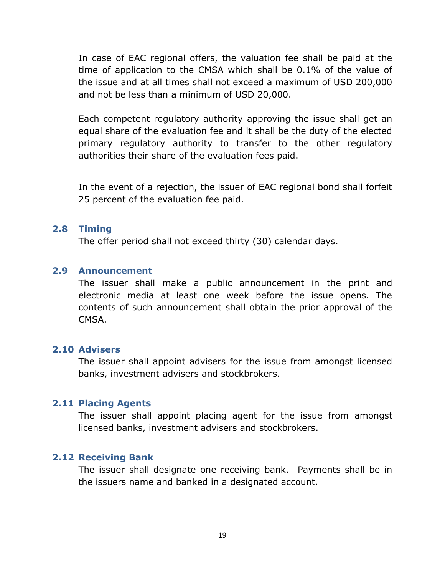In case of EAC regional offers, the valuation fee shall be paid at the time of application to the CMSA which shall be 0.1% of the value of the issue and at all times shall not exceed a maximum of USD 200,000 and not be less than a minimum of USD 20,000.

Each competent regulatory authority approving the issue shall get an equal share of the evaluation fee and it shall be the duty of the elected primary regulatory authority to transfer to the other regulatory authorities their share of the evaluation fees paid.

In the event of a rejection, the issuer of EAC regional bond shall forfeit 25 percent of the evaluation fee paid.

#### <span id="page-18-0"></span>**2.8 Timing**

The offer period shall not exceed thirty (30) calendar days.

#### <span id="page-18-1"></span>**2.9 Announcement**

The issuer shall make a public announcement in the print and electronic media at least one week before the issue opens. The contents of such announcement shall obtain the prior approval of the CMSA.

## <span id="page-18-2"></span>**2.10 Advisers**

The issuer shall appoint advisers for the issue from amongst licensed banks, investment advisers and stockbrokers.

#### <span id="page-18-3"></span>**2.11 Placing Agents**

The issuer shall appoint placing agent for the issue from amongst licensed banks, investment advisers and stockbrokers.

### <span id="page-18-4"></span>**2.12 Receiving Bank**

The issuer shall designate one receiving bank. Payments shall be in the issuers name and banked in a designated account.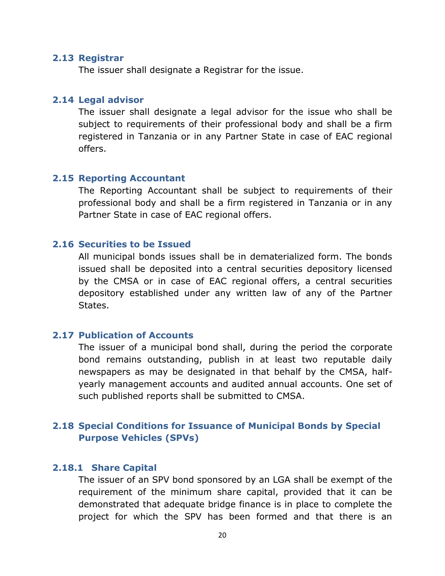#### <span id="page-19-0"></span>**2.13 Registrar**

The issuer shall designate a Registrar for the issue.

#### <span id="page-19-1"></span>**2.14 Legal advisor**

The issuer shall designate a legal advisor for the issue who shall be subject to requirements of their professional body and shall be a firm registered in Tanzania or in any Partner State in case of EAC regional offers.

#### <span id="page-19-2"></span>**2.15 Reporting Accountant**

The Reporting Accountant shall be subject to requirements of their professional body and shall be a firm registered in Tanzania or in any Partner State in case of EAC regional offers.

#### <span id="page-19-3"></span>**2.16 Securities to be Issued**

All municipal bonds issues shall be in dematerialized form. The bonds issued shall be deposited into a central securities depository licensed by the CMSA or in case of EAC regional offers, a central securities depository established under any written law of any of the Partner States.

#### <span id="page-19-4"></span>**2.17 Publication of Accounts**

The issuer of a municipal bond shall, during the period the corporate bond remains outstanding, publish in at least two reputable daily newspapers as may be designated in that behalf by the CMSA, halfyearly management accounts and audited annual accounts. One set of such published reports shall be submitted to CMSA.

## <span id="page-19-5"></span>**2.18 Special Conditions for Issuance of Municipal Bonds by Special Purpose Vehicles (SPVs)**

#### <span id="page-19-6"></span>**2.18.1 Share Capital**

The issuer of an SPV bond sponsored by an LGA shall be exempt of the requirement of the minimum share capital, provided that it can be demonstrated that adequate bridge finance is in place to complete the project for which the SPV has been formed and that there is an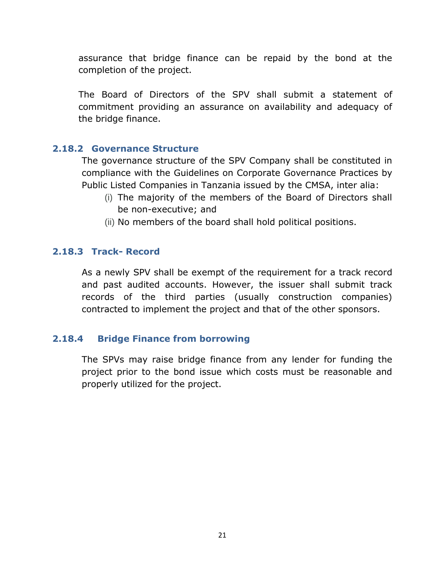assurance that bridge finance can be repaid by the bond at the completion of the project.

The Board of Directors of the SPV shall submit a statement of commitment providing an assurance on availability and adequacy of the bridge finance.

## <span id="page-20-0"></span>**2.18.2 Governance Structure**

The governance structure of the SPV Company shall be constituted in compliance with the Guidelines on Corporate Governance Practices by Public Listed Companies in Tanzania issued by the CMSA, inter alia:

- (i) The majority of the members of the Board of Directors shall be non-executive; and
- (ii) No members of the board shall hold political positions.

## <span id="page-20-1"></span>**2.18.3 Track- Record**

As a newly SPV shall be exempt of the requirement for a track record and past audited accounts. However, the issuer shall submit track records of the third parties (usually construction companies) contracted to implement the project and that of the other sponsors.

# **2.18.4 Bridge Finance from borrowing**

<span id="page-20-2"></span>The SPVs may raise bridge finance from any lender for funding the project prior to the bond issue which costs must be reasonable and properly utilized for the project.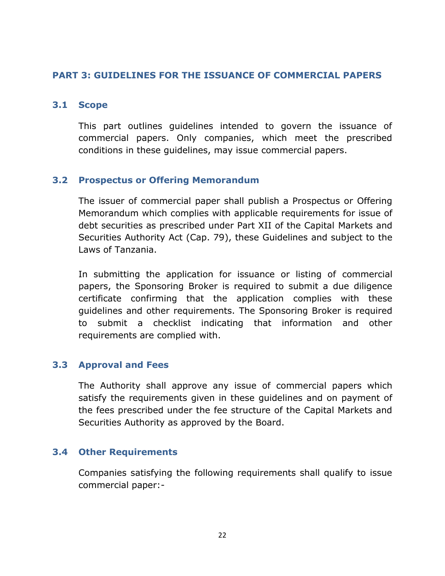### <span id="page-21-1"></span><span id="page-21-0"></span>**PART 3: GUIDELINES FOR THE ISSUANCE OF COMMERCIAL PAPERS**

### **3.1 Scope**

This part outlines guidelines intended to govern the issuance of commercial papers. Only companies, which meet the prescribed conditions in these guidelines, may issue commercial papers.

# <span id="page-21-2"></span>**3.2 Prospectus or Offering Memorandum**

The issuer of commercial paper shall publish a Prospectus or Offering Memorandum which complies with applicable requirements for issue of debt securities as prescribed under Part XII of the Capital Markets and Securities Authority Act (Cap. 79), these Guidelines and subject to the Laws of Tanzania.

In submitting the application for issuance or listing of commercial papers, the Sponsoring Broker is required to submit a due diligence certificate confirming that the application complies with these guidelines and other requirements. The Sponsoring Broker is required to submit a checklist indicating that information and other requirements are complied with.

### <span id="page-21-3"></span>**3.3 Approval and Fees**

The Authority shall approve any issue of commercial papers which satisfy the requirements given in these guidelines and on payment of the fees prescribed under the fee structure of the Capital Markets and Securities Authority as approved by the Board.

### <span id="page-21-4"></span>**3.4 Other Requirements**

Companies satisfying the following requirements shall qualify to issue commercial paper:-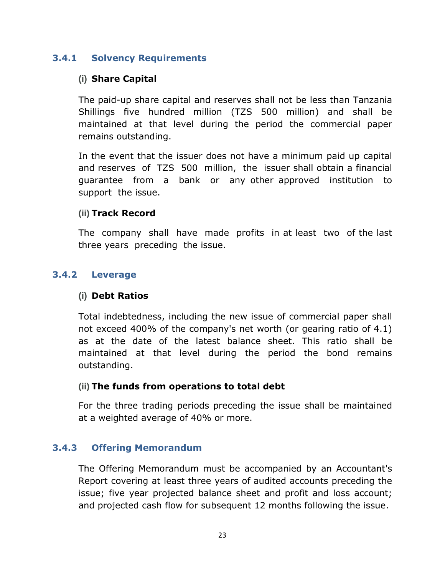# <span id="page-22-0"></span>**3.4.1 Solvency Requirements**

## **(i) Share Capital**

The paid-up share capital and reserves shall not be less than Tanzania Shillings five hundred million (TZS 500 million) and shall be maintained at that level during the period the commercial paper remains outstanding.

In the event that the issuer does not have a minimum paid up capital and reserves of TZS 500 million, the issuer shall obtain a financial guarantee from a bank or any other approved institution to support the issue.

### **(ii) Track Record**

The company shall have made profits in at least two of the last three years preceding the issue.

## <span id="page-22-1"></span>**3.4.2 Leverage**

### **(i) Debt Ratios**

Total indebtedness, including the new issue of commercial paper shall not exceed 400% of the company's net worth (or gearing ratio of 4.1) as at the date of the latest balance sheet. This ratio shall be maintained at that level during the period the bond remains outstanding.

#### **(ii) The funds from operations to total debt**

For the three trading periods preceding the issue shall be maintained at a weighted average of 40% or more.

### <span id="page-22-2"></span>**3.4.3 Offering Memorandum**

The Offering Memorandum must be accompanied by an Accountant's Report covering at least three years of audited accounts preceding the issue; five year projected balance sheet and profit and loss account; and projected cash flow for subsequent 12 months following the issue.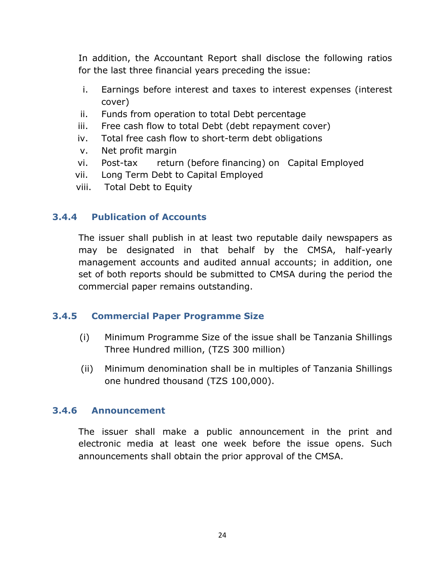In addition, the Accountant Report shall disclose the following ratios for the last three financial years preceding the issue:

- i. Earnings before interest and taxes to interest expenses (interest cover)
- ii. Funds from operation to total Debt percentage
- iii. Free cash flow to total Debt (debt repayment cover)
- iv. Total free cash flow to short-term debt obligations
- v. Net profit margin
- vi. Post-tax return (before financing) on Capital Employed
- vii. Long Term Debt to Capital Employed
- viii. Total Debt to Equity

# <span id="page-23-0"></span>**3.4.4 Publication of Accounts**

The issuer shall publish in at least two reputable daily newspapers as may be designated in that behalf by the CMSA, half-yearly management accounts and audited annual accounts; in addition, one set of both reports should be submitted to CMSA during the period the commercial paper remains outstanding.

# <span id="page-23-1"></span>**3.4.5 Commercial Paper Programme Size**

- (i) Minimum Programme Size of the issue shall be Tanzania Shillings Three Hundred million, (TZS 300 million)
- (ii) Minimum denomination shall be in multiples of Tanzania Shillings one hundred thousand (TZS 100,000).

# <span id="page-23-2"></span>**3.4.6 Announcement**

The issuer shall make a public announcement in the print and electronic media at least one week before the issue opens. Such announcements shall obtain the prior approval of the CMSA.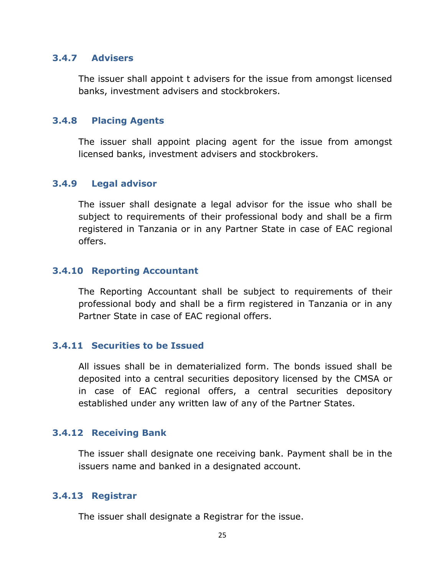#### <span id="page-24-0"></span>**3.4.7 Advisers**

The issuer shall appoint t advisers for the issue from amongst licensed banks, investment advisers and stockbrokers.

### <span id="page-24-1"></span>**3.4.8 Placing Agents**

The issuer shall appoint placing agent for the issue from amongst licensed banks, investment advisers and stockbrokers.

### <span id="page-24-2"></span>**3.4.9 Legal advisor**

The issuer shall designate a legal advisor for the issue who shall be subject to requirements of their professional body and shall be a firm registered in Tanzania or in any Partner State in case of EAC regional offers.

## <span id="page-24-3"></span>**3.4.10 Reporting Accountant**

The Reporting Accountant shall be subject to requirements of their professional body and shall be a firm registered in Tanzania or in any Partner State in case of EAC regional offers.

### <span id="page-24-4"></span>**3.4.11 Securities to be Issued**

All issues shall be in dematerialized form. The bonds issued shall be deposited into a central securities depository licensed by the CMSA or in case of EAC regional offers, a central securities depository established under any written law of any of the Partner States.

# <span id="page-24-5"></span>**3.4.12 Receiving Bank**

The issuer shall designate one receiving bank. Payment shall be in the issuers name and banked in a designated account.

### <span id="page-24-6"></span>**3.4.13 Registrar**

The issuer shall designate a Registrar for the issue.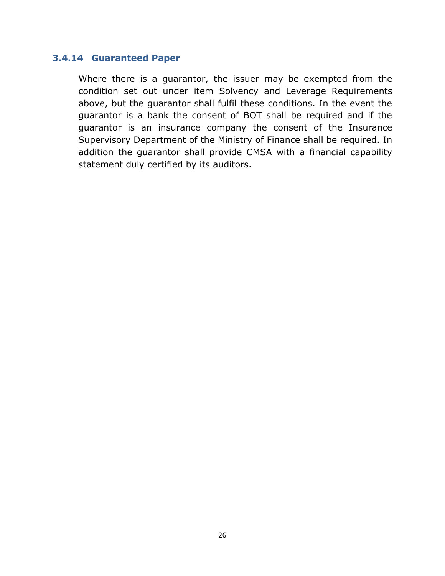#### <span id="page-25-0"></span>**3.4.14 Guaranteed Paper**

Where there is a guarantor, the issuer may be exempted from the condition set out under item Solvency and Leverage Requirements above, but the guarantor shall fulfil these conditions. In the event the guarantor is a bank the consent of BOT shall be required and if the guarantor is an insurance company the consent of the Insurance Supervisory Department of the Ministry of Finance shall be required. In addition the guarantor shall provide CMSA with a financial capability statement duly certified by its auditors.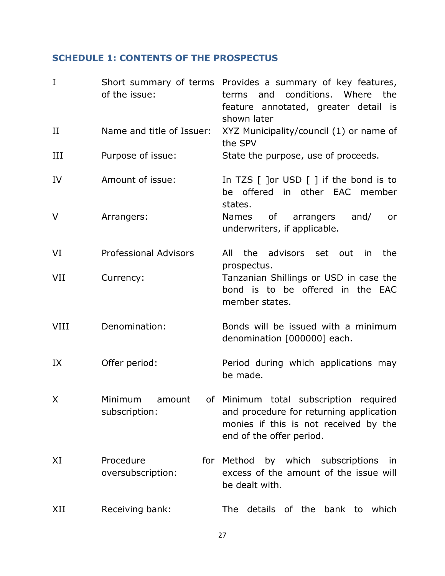# <span id="page-26-0"></span>**SCHEDULE 1: CONTENTS OF THE PROSPECTUS**

| $\mathbf I$ | of the issue:                      | Short summary of terms Provides a summary of key features,<br>and conditions. Where<br>terms<br>the<br>feature annotated, greater detail is<br>shown later |
|-------------|------------------------------------|------------------------------------------------------------------------------------------------------------------------------------------------------------|
| $_{\rm II}$ | Name and title of Issuer:          | XYZ Municipality/council (1) or name of<br>the SPV                                                                                                         |
| III         | Purpose of issue:                  | State the purpose, use of proceeds.                                                                                                                        |
| IV          | Amount of issue:                   | In TZS $[$ ] or USD $[$ ] if the bond is to<br>be offered in other EAC member<br>states.                                                                   |
| $\vee$      | Arrangers:                         | of<br>arrangers<br>and/<br><b>Names</b><br>or<br>underwriters, if applicable.                                                                              |
| VI          | <b>Professional Advisors</b>       | the advisors set out in<br>All<br>the<br>prospectus.                                                                                                       |
| VII         | Currency:                          | Tanzanian Shillings or USD in case the<br>bond is to be offered in the EAC<br>member states.                                                               |
| <b>VIII</b> | Denomination:                      | Bonds will be issued with a minimum<br>denomination [000000] each.                                                                                         |
| IX          | Offer period:                      | Period during which applications may<br>be made.                                                                                                           |
| X           | Minimum<br>amount<br>subscription: | of Minimum total subscription<br>required<br>and procedure for returning application<br>monies if this is not received by the<br>end of the offer period.  |
| XI          | Procedure<br>oversubscription:     | by which subscriptions in<br>for Method<br>excess of the amount of the issue will<br>be dealt with.                                                        |
| XII         | Receiving bank:                    | The details of the<br>bank to<br>which                                                                                                                     |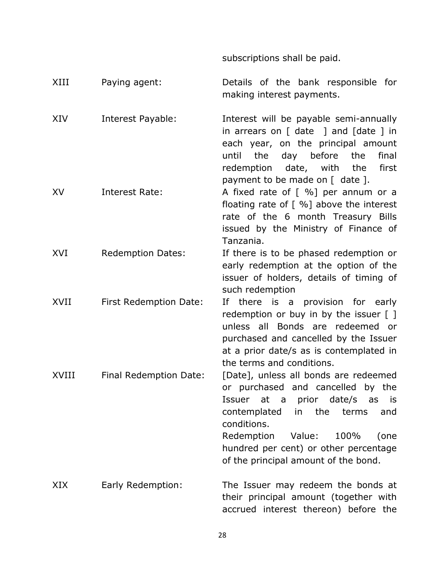subscriptions shall be paid.

| XIII  | Paying agent:            | Details of the bank responsible for<br>making interest payments.                                                                                                                                                                                                                            |
|-------|--------------------------|---------------------------------------------------------------------------------------------------------------------------------------------------------------------------------------------------------------------------------------------------------------------------------------------|
| XIV   | Interest Payable:        | Interest will be payable semi-annually<br>in arrears on $[$ date $]$ and $[$ date $]$ in<br>each year, on the principal amount<br>day before<br>the<br>the<br>final<br>until<br>redemption date, with the<br>first<br>payment to be made on [ date ].                                       |
| XV    | <b>Interest Rate:</b>    | A fixed rate of $[%]$ per annum or a<br>floating rate of $[%]$ above the interest<br>rate of the 6 month Treasury Bills<br>issued by the Ministry of Finance of<br>Tanzania.                                                                                                                |
| XVI   | <b>Redemption Dates:</b> | If there is to be phased redemption or<br>early redemption at the option of the<br>issuer of holders, details of timing of<br>such redemption                                                                                                                                               |
| XVII  | First Redemption Date:   | If there is a provision for early<br>redemption or buy in by the issuer [ ]<br>unless all Bonds are redeemed or<br>purchased and cancelled by the Issuer<br>at a prior date/s as is contemplated in<br>the terms and conditions.                                                            |
| XVIII | Final Redemption Date:   | [Date], unless all bonds are redeemed<br>or purchased and cancelled by the<br>Issuer at a prior date/s as is<br>contemplated in the<br>terms<br>and<br>conditions.<br>Redemption<br>Value:<br>100%<br>(one<br>hundred per cent) or other percentage<br>of the principal amount of the bond. |
| XIX   | Early Redemption:        | The Issuer may redeem the bonds at<br>their principal amount (together with<br>accrued interest thereon) before the                                                                                                                                                                         |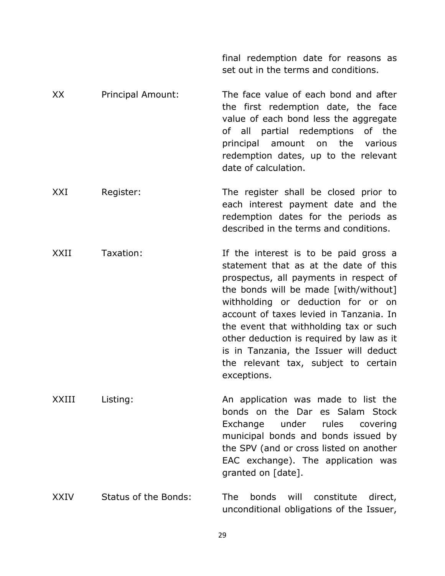|       |                      | set out in the terms and conditions.                                                                                                                                                                                                                                                                                                                                                                                                      |
|-------|----------------------|-------------------------------------------------------------------------------------------------------------------------------------------------------------------------------------------------------------------------------------------------------------------------------------------------------------------------------------------------------------------------------------------------------------------------------------------|
| XX    | Principal Amount:    | The face value of each bond and after<br>the first redemption date, the face<br>value of each bond less the aggregate<br>of all partial redemptions of the<br>principal amount on the various<br>redemption dates, up to the relevant<br>date of calculation.                                                                                                                                                                             |
| XXI   | Register:            | The register shall be closed prior to<br>each interest payment date and the<br>redemption dates for the periods as<br>described in the terms and conditions.                                                                                                                                                                                                                                                                              |
| XXII  | Taxation:            | If the interest is to be paid gross a<br>statement that as at the date of this<br>prospectus, all payments in respect of<br>the bonds will be made [with/without]<br>withholding or deduction for or on<br>account of taxes levied in Tanzania. In<br>the event that withholding tax or such<br>other deduction is required by law as it<br>is in Tanzania, the Issuer will deduct<br>the relevant tax, subject to certain<br>exceptions. |
| XXIII | Listing:             | An application was made to list the<br>bonds on the Dar es Salam Stock<br>under<br>rules<br>Exchange<br>covering<br>municipal bonds and bonds issued by<br>the SPV (and or cross listed on another<br>EAC exchange). The application was<br>granted on [date].                                                                                                                                                                            |
| XXIV  | Status of the Bonds: | <b>The</b><br>bonds<br>will<br>constitute<br>direct,<br>unconditional obligations of the Issuer,                                                                                                                                                                                                                                                                                                                                          |

final redemption date for reasons as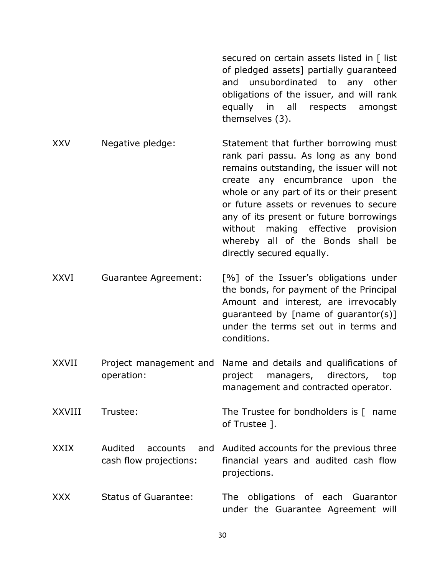secured on certain assets listed in [ list of pledged assets] partially guaranteed and unsubordinated to any other obligations of the issuer, and will rank equally in all respects amongst themselves (3).

- XXV Negative pledge: Statement that further borrowing must rank pari passu. As long as any bond remains outstanding, the issuer will not create any encumbrance upon the whole or any part of its or their present or future assets or revenues to secure any of its present or future borrowings without making effective provision whereby all of the Bonds shall be directly secured equally.
- XXVI Guarantee Agreement: [%] of the Issuer's obligations under the bonds, for payment of the Principal Amount and interest, are irrevocably guaranteed by [name of guarantor(s)] under the terms set out in terms and conditions.
- XXVII Project management and Name and details and qualifications of operation: project managers, directors, top management and contracted operator.
- XXVIII Trustee: The Trustee for bondholders is [ name of Trustee ].
- XXIX Audited accounts cash flow projections: and Audited accounts for the previous three financial years and audited cash flow projections.
- XXX Status of Guarantee: The obligations of each Guarantor under the Guarantee Agreement will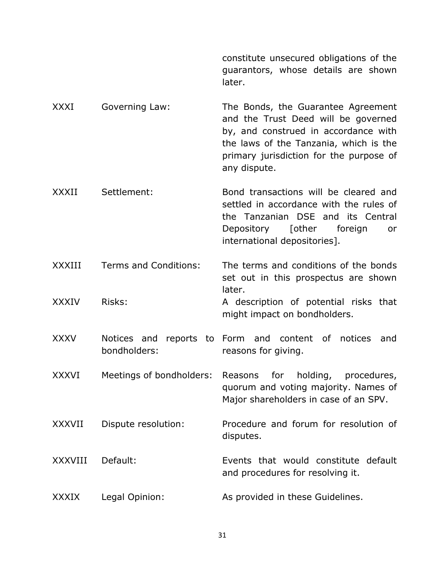constitute unsecured obligations of the guarantors, whose details are shown later.

XXXI Governing Law: The Bonds, the Guarantee Agreement and the Trust Deed will be governed by, and construed in accordance with the laws of the Tanzania, which is the primary jurisdiction for the purpose of any dispute.

XXXII Settlement: Bond transactions will be cleared and settled in accordance with the rules of the Tanzanian DSE and its Central Depository [other foreign or international depositories].

XXXIII Terms and Conditions: The terms and conditions of the bonds set out in this prospectus are shown later.

XXXIV Risks: A description of potential risks that might impact on bondholders.

XXXV Notices and reports to Form and content of notices and bondholders: reasons for giving.

XXXVI Meetings of bondholders: Reasons for holding, procedures, quorum and voting majority. Names of Major shareholders in case of an SPV.

XXXVII Dispute resolution: Procedure and forum for resolution of disputes.

XXXVIII Default: Events that would constitute default and procedures for resolving it.

XXXIX Legal Opinion: As provided in these Guidelines.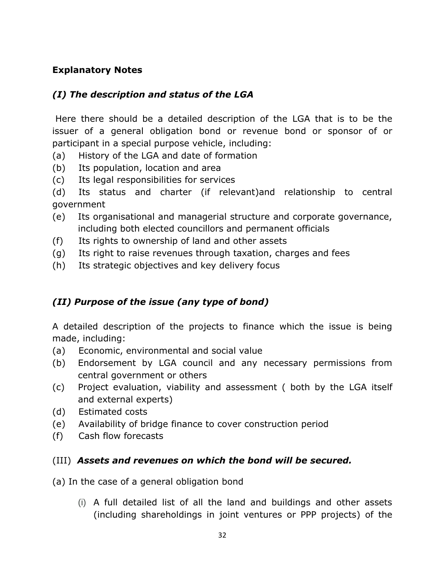# **Explanatory Notes**

# *(I) The description and status of the LGA*

Here there should be a detailed description of the LGA that is to be the issuer of a general obligation bond or revenue bond or sponsor of or participant in a special purpose vehicle, including:

- (a) History of the LGA and date of formation
- (b) Its population, location and area
- (c) Its legal responsibilities for services

(d) Its status and charter (if relevant)and relationship to central government

- (e) Its organisational and managerial structure and corporate governance, including both elected councillors and permanent officials
- (f) Its rights to ownership of land and other assets
- (g) Its right to raise revenues through taxation, charges and fees
- (h) Its strategic objectives and key delivery focus

# *(II) Purpose of the issue (any type of bond)*

A detailed description of the projects to finance which the issue is being made, including:

- (a) Economic, environmental and social value
- (b) Endorsement by LGA council and any necessary permissions from central government or others
- (c) Project evaluation, viability and assessment ( both by the LGA itself and external experts)
- (d) Estimated costs
- (e) Availability of bridge finance to cover construction period
- (f) Cash flow forecasts

# (III) *Assets and revenues on which the bond will be secured.*

(a) In the case of a general obligation bond

(i) A full detailed list of all the land and buildings and other assets (including shareholdings in joint ventures or PPP projects) of the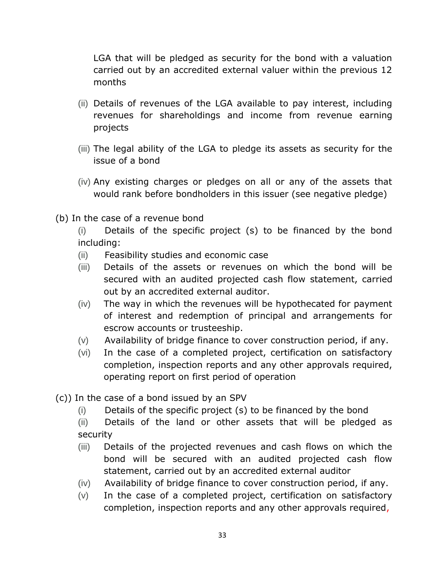LGA that will be pledged as security for the bond with a valuation carried out by an accredited external valuer within the previous 12 months

- (ii) Details of revenues of the LGA available to pay interest, including revenues for shareholdings and income from revenue earning projects
- (iii) The legal ability of the LGA to pledge its assets as security for the issue of a bond
- (iv) Any existing charges or pledges on all or any of the assets that would rank before bondholders in this issuer (see negative pledge)
- (b) In the case of a revenue bond
	- (i) Details of the specific project (s) to be financed by the bond including:
	- (ii) Feasibility studies and economic case
	- (iii) Details of the assets or revenues on which the bond will be secured with an audited projected cash flow statement, carried out by an accredited external auditor.
	- (iv) The way in which the revenues will be hypothecated for payment of interest and redemption of principal and arrangements for escrow accounts or trusteeship.
	- (v) Availability of bridge finance to cover construction period, if any.
	- (vi) In the case of a completed project, certification on satisfactory completion, inspection reports and any other approvals required, operating report on first period of operation
- (c)) In the case of a bond issued by an SPV
	- (i) Details of the specific project (s) to be financed by the bond
	- (ii) Details of the land or other assets that will be pledged as security
	- (iii) Details of the projected revenues and cash flows on which the bond will be secured with an audited projected cash flow statement, carried out by an accredited external auditor
	- (iv) Availability of bridge finance to cover construction period, if any.
	- (v) In the case of a completed project, certification on satisfactory completion, inspection reports and any other approvals required,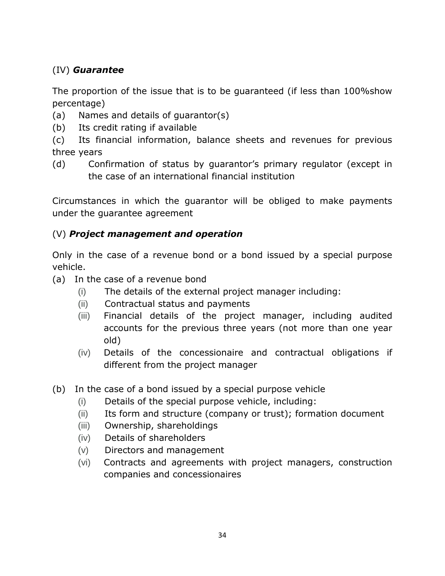# (IV) *Guarantee*

The proportion of the issue that is to be guaranteed (if less than 100%show percentage)

- (a) Names and details of guarantor(s)
- (b) Its credit rating if available

(c) Its financial information, balance sheets and revenues for previous three years

(d) Confirmation of status by guarantor's primary regulator (except in the case of an international financial institution

Circumstances in which the guarantor will be obliged to make payments under the guarantee agreement

# (V) *Project management and operation*

Only in the case of a revenue bond or a bond issued by a special purpose vehicle.

- (a) In the case of a revenue bond
	- (i) The details of the external project manager including:
	- (ii) Contractual status and payments
	- (iii) Financial details of the project manager, including audited accounts for the previous three years (not more than one year old)
	- (iv) Details of the concessionaire and contractual obligations if different from the project manager
- (b) In the case of a bond issued by a special purpose vehicle
	- (i) Details of the special purpose vehicle, including:
	- (ii) Its form and structure (company or trust); formation document
	- (iii) Ownership, shareholdings
	- (iv) Details of shareholders
	- (v) Directors and management
	- (vi) Contracts and agreements with project managers, construction companies and concessionaires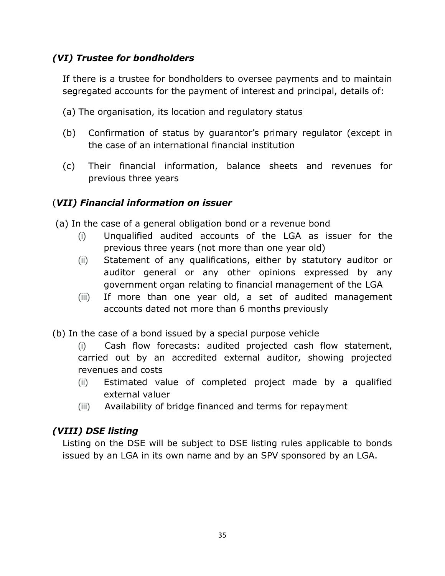# *(VI) Trustee for bondholders*

If there is a trustee for bondholders to oversee payments and to maintain segregated accounts for the payment of interest and principal, details of:

- (a) The organisation, its location and regulatory status
- (b) Confirmation of status by guarantor's primary regulator (except in the case of an international financial institution
- (c) Their financial information, balance sheets and revenues for previous three years

# (*VII) Financial information on issuer*

(a) In the case of a general obligation bond or a revenue bond

- (i) Unqualified audited accounts of the LGA as issuer for the previous three years (not more than one year old)
- (ii) Statement of any qualifications, either by statutory auditor or auditor general or any other opinions expressed by any government organ relating to financial management of the LGA
- (iii) If more than one year old, a set of audited management accounts dated not more than 6 months previously
- (b) In the case of a bond issued by a special purpose vehicle

(i) Cash flow forecasts: audited projected cash flow statement, carried out by an accredited external auditor, showing projected revenues and costs

- (ii) Estimated value of completed project made by a qualified external valuer
- (iii) Availability of bridge financed and terms for repayment

# *(VIII) DSE listing*

Listing on the DSE will be subject to DSE listing rules applicable to bonds issued by an LGA in its own name and by an SPV sponsored by an LGA.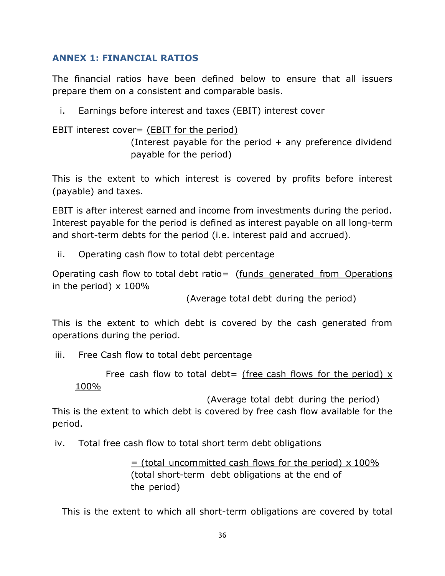# <span id="page-35-0"></span>**ANNEX 1: FINANCIAL RATIOS**

The financial ratios have been defined below to ensure that all issuers prepare them on a consistent and comparable basis.

i. Earnings before interest and taxes (EBIT) interest cover

EBIT interest cover= (EBIT for the period)

(Interest payable for the period  $+$  any preference dividend payable for the period)

This is the extent to which interest is covered by profits before interest (payable) and taxes.

EBIT is after interest earned and income from investments during the period. Interest payable for the period is defined as interest payable on all long-term and short-term debts for the period (i.e. interest paid and accrued).

ii. Operating cash flow to total debt percentage

Operating cash flow to total debt ratio= (funds generated from Operations in the period)  $\times$  100%

(Average total debt during the period)

This is the extent to which debt is covered by the cash generated from operations during the period.

iii. Free Cash flow to total debt percentage

Free cash flow to total debt= (free cash flows for the period)  $x$ 100%

(Average total debt during the period)

This is the extent to which debt is covered by free cash flow available for the period.

iv. Total free cash flow to total short term debt obligations

 $=$  (total uncommitted cash flows for the period) x 100% (total short-term debt obligations at the end of the period)

This is the extent to which all short-term obligations are covered by total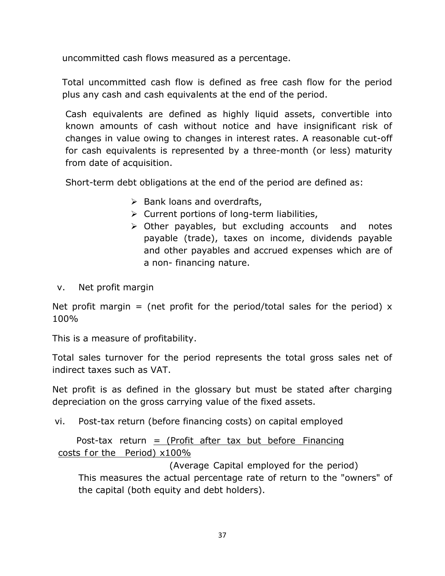uncommitted cash flows measured as a percentage.

Total uncommitted cash flow is defined as free cash flow for the period plus any cash and cash equivalents at the end of the period.

Cash equivalents are defined as highly liquid assets, convertible into known amounts of cash without notice and have insignificant risk of changes in value owing to changes in interest rates. A reasonable cut-off for cash equivalents is represented by a three-month (or less) maturity from date of acquisition.

Short-term debt obligations at the end of the period are defined as:

- $\triangleright$  Bank loans and overdrafts,
- $\triangleright$  Current portions of long-term liabilities,
- $\triangleright$  Other payables, but excluding accounts and notes payable (trade), taxes on income, dividends payable and other payables and accrued expenses which are of a non- financing nature.
- v. Net profit margin

Net profit margin = (net profit for the period/total sales for the period)  $x$ 100%

This is a measure of profitability.

Total sales turnover for the period represents the total gross sales net of indirect taxes such as VAT.

Net profit is as defined in the glossary but must be stated after charging depreciation on the gross carrying value of the fixed assets.

vi. Post-tax return (before financing costs) on capital employed

Post-tax return  $=$  (Profit after tax but before Financing costs f or the Period) x100%

 (Average Capital employed for the period) This measures the actual percentage rate of return to the "owners" of the capital (both equity and debt holders).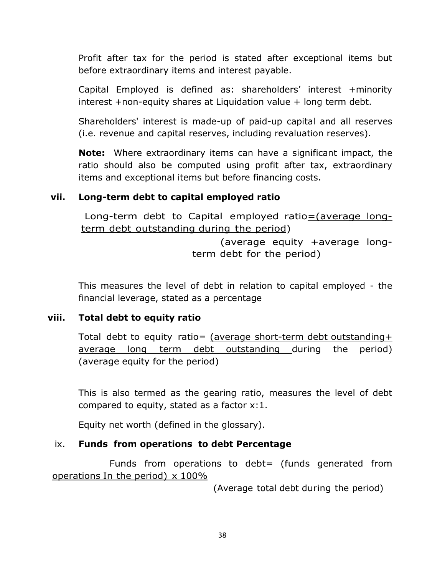Profit after tax for the period is stated after exceptional items but before extraordinary items and interest payable.

Capital Employed is defined as: shareholders' interest +minority interest +non-equity shares at Liquidation value + long term debt.

Shareholders' interest is made-up of paid-up capital and all reserves (i.e. revenue and capital reserves, including revaluation reserves).

**Note:** Where extraordinary items can have a significant impact, the ratio should also be computed using profit after tax, extraordinary items and exceptional items but before financing costs.

## **vii. Long-term debt to capital employed ratio**

Long-term debt to Capital employed ratio=(average longterm debt outstanding during the period)

> (average equity +average longterm debt for the period)

This measures the level of debt in relation to capital employed - the financial leverage, stated as a percentage

### **viii. Total debt to equity ratio**

Total debt to equity ratio= (average short-term debt outstanding+ average long term debt outstanding during the period) (average equity for the period)

This is also termed as the gearing ratio, measures the level of debt compared to equity, stated as a factor x:1.

Equity net worth (defined in the glossary).

### ix. **Funds from operations to debt Percentage**

Funds from operations to debt= (funds generated from operations In the period)  $\times$  100%

(Average total debt during the period)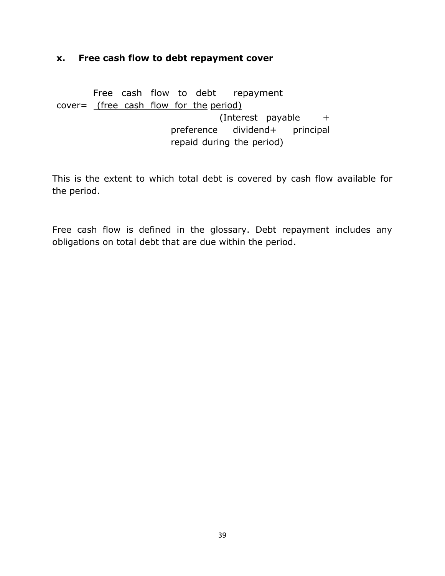#### **x. Free cash flow to debt repayment cover**

 Free cash flow to debt repayment cover= (free cash flow for the period) (Interest payable + preference dividend+ principal repaid during the period)

This is the extent to which total debt is covered by cash flow available for the period.

Free cash flow is defined in the glossary. Debt repayment includes any obligations on total debt that are due within the period.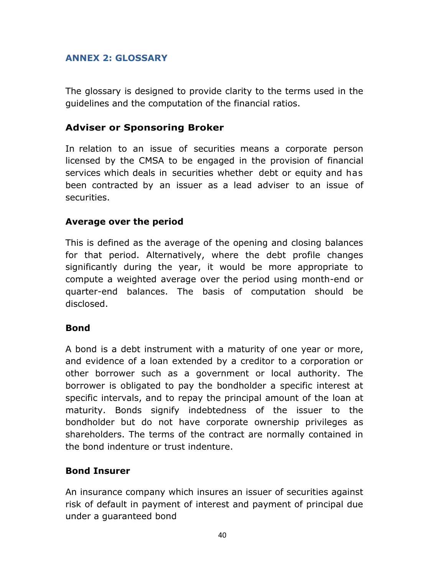## <span id="page-39-0"></span>**ANNEX 2: GLOSSARY**

The glossary is designed to provide clarity to the terms used in the guidelines and the computation of the financial ratios.

# **Adviser or Sponsoring Broker**

In relation to an issue of securities means a corporate person licensed by the CMSA to be engaged in the provision of financial services which deals in securities whether debt or equity and has been contracted by an issuer as a lead adviser to an issue of securities.

## **Average over the period**

This is defined as the average of the opening and closing balances for that period. Alternatively, where the debt profile changes significantly during the year, it would be more appropriate to compute a weighted average over the period using month-end or quarter-end balances. The basis of computation should be disclosed.

### **Bond**

A bond is a debt instrument with a maturity of one year or more, and evidence of a loan extended by a creditor to a corporation or other borrower such as a government or local authority. The borrower is obligated to pay the bondholder a specific interest at specific intervals, and to repay the principal amount of the loan at maturity. Bonds signify indebtedness of the issuer to the bondholder but do not have corporate ownership privileges as shareholders. The terms of the contract are normally contained in the bond indenture or trust indenture.

# **Bond Insurer**

An insurance company which insures an issuer of securities against risk of default in payment of interest and payment of principal due under a guaranteed bond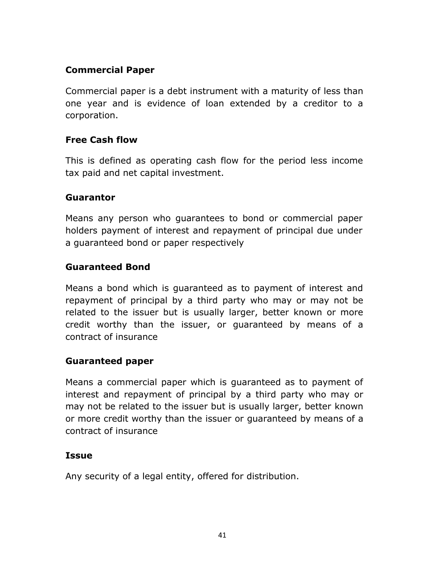# **Commercial Paper**

Commercial paper is a debt instrument with a maturity of less than one year and is evidence of loan extended by a creditor to a corporation.

# **Free Cash flow**

This is defined as operating cash flow for the period less income tax paid and net capital investment.

## **Guarantor**

Means any person who guarantees to bond or commercial paper holders payment of interest and repayment of principal due under a guaranteed bond or paper respectively

# **Guaranteed Bond**

Means a bond which is guaranteed as to payment of interest and repayment of principal by a third party who may or may not be related to the issuer but is usually larger, better known or more credit worthy than the issuer, or guaranteed by means of a contract of insurance

### **Guaranteed paper**

Means a commercial paper which is guaranteed as to payment of interest and repayment of principal by a third party who may or may not be related to the issuer but is usually larger, better known or more credit worthy than the issuer or guaranteed by means of a contract of insurance

# **Issue**

Any security of a legal entity, offered for distribution.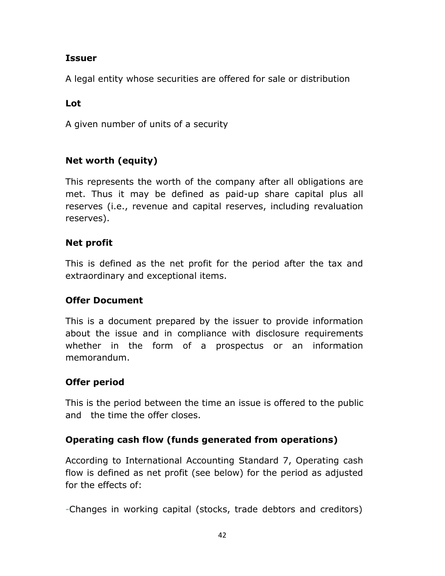# **Issuer**

A legal entity whose securities are offered for sale or distribution

# **Lot**

A given number of units of a security

# **Net worth (equity)**

This represents the worth of the company after all obligations are met. Thus it may be defined as paid-up share capital plus all reserves (i.e., revenue and capital reserves, including revaluation reserves).

# **Net profit**

This is defined as the net profit for the period after the tax and extraordinary and exceptional items.

# **Offer Document**

This is a document prepared by the issuer to provide information about the issue and in compliance with disclosure requirements whether in the form of a prospectus or an information memorandum.

# **Offer period**

This is the period between the time an issue is offered to the public and the time the offer closes.

# **Operating cash flow (funds generated from operations)**

According to International Accounting Standard 7, Operating cash flow is defined as net profit (see below) for the period as adjusted for the effects of:

-Changes in working capital (stocks, trade debtors and creditors)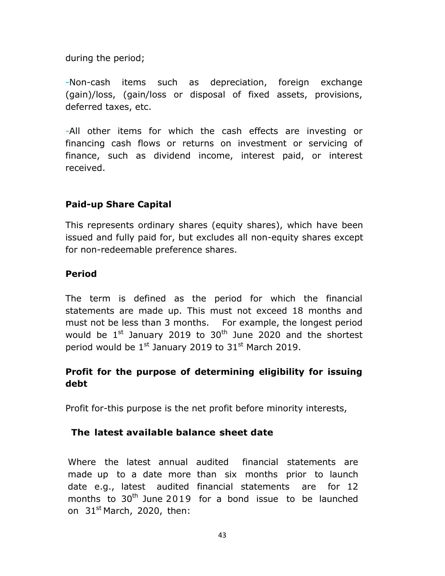during the period;

-Non-cash items such as depreciation, foreign exchange (gain)/loss, (gain/loss or disposal of fixed assets, provisions, deferred taxes, etc.

-All other items for which the cash effects are investing or financing cash flows or returns on investment or servicing of finance, such as dividend income, interest paid, or interest received.

# **Paid-up Share Capital**

This represents ordinary shares (equity shares), which have been issued and fully paid for, but excludes all non-equity shares except for non-redeemable preference shares.

## **Period**

The term is defined as the period for which the financial statements are made up. This must not exceed 18 months and must not be less than 3 months. For example, the longest period would be  $1^{\text{st}}$  January 2019 to 30<sup>th</sup> June 2020 and the shortest period would be  $1^{st}$  January 2019 to  $31^{st}$  March 2019.

# **Profit for the purpose of determining eligibility for issuing debt**

Profit for-this purpose is the net profit before minority interests,

# **The latest available balance sheet date**

Where the latest annual audited financial statements are made up to a date more than six months prior to launch date e.g., latest audited financial statements are for 12 months to  $30<sup>th</sup>$  June 2019 for a bond issue to be launched on  $31<sup>st</sup>$  March, 2020, then: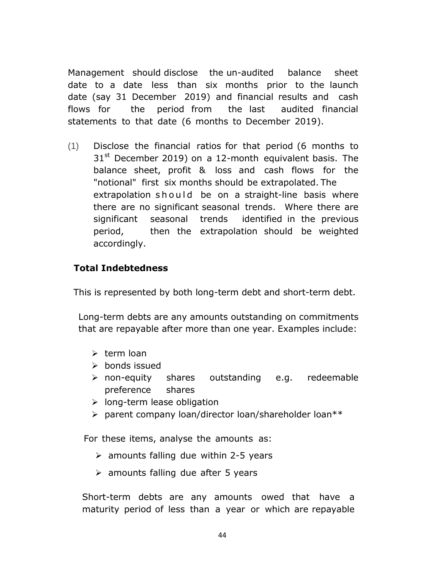Management should disclose the un-audited balance sheet date to a date less than six months prior to the launch date (say 31 December 2019) and financial results and cash flows for the period from the last audited financial statements to that date (6 months to December 2019).

(1) Disclose the financial ratios for that period (6 months to  $31<sup>st</sup>$  December 2019) on a 12-month equivalent basis. The balance sheet, profit & loss and cash flows for the "notional" first six months should be extrapolated. The extrapolation should be on a straight-line basis where there are no significant seasonal trends. Where there are significant seasonal trends identified in the previous period, then the extrapolation should be weighted accordingly.

## **Total Indebtedness**

This is represented by both long-term debt and short-term debt.

Long-term debts are any amounts outstanding on commitments that are repayable after more than one year. Examples include:

- $\triangleright$  term loan
- $\triangleright$  bonds issued
- non-equity shares outstanding e.g. redeemable preference shares
- $\triangleright$  long-term lease obligation
- parent company loan/director loan/shareholder loan\*\*

For these items, analyse the amounts as:

- $\geq$  amounts falling due within 2-5 years
- $\triangleright$  amounts falling due after 5 years

Short-term debts are any amounts owed that have a maturity period of less than a year or which are repayable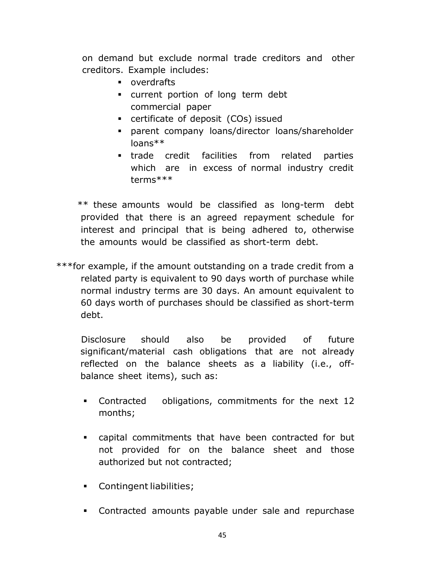on demand but exclude normal trade creditors and other creditors. Example includes:

- **•** overdrafts
- current portion of long term debt commercial paper
- certificate of deposit (COs) issued
- parent company loans/director loans/shareholder loans\*\*
- trade credit facilities from related parties which are in excess of normal industry credit terms\*\*\*

 \*\* these amounts would be classified as long-term debt provided that there is an agreed repayment schedule for interest and principal that is being adhered to, otherwise the amounts would be classified as short-term debt.

\*\*\*for example, if the amount outstanding on a trade credit from a related party is equivalent to 90 days worth of purchase while normal industry terms are 30 days. An amount equivalent to 60 days worth of purchases should be classified as short-term debt.

Disclosure should also be provided of future significant/material cash obligations that are not already reflected on the balance sheets as a liability (i.e., offbalance sheet items), such as:

- Contracted obligations, commitments for the next 12 months;
- capital commitments that have been contracted for but not provided for on the balance sheet and those authorized but not contracted;
- Contingent liabilities;
- Contracted amounts payable under sale and repurchase